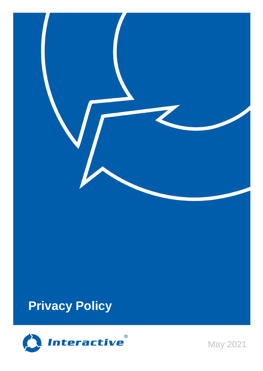

# **Privacy Policy**



May 2021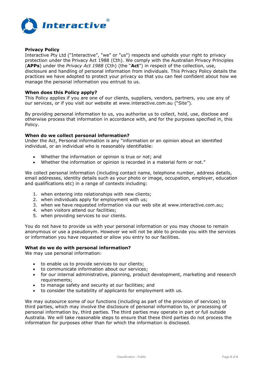

# **Privacy Policy**

Interactive Pty Ltd ("Interactive", "we" or "us") respects and upholds your right to privacy protection under the Privacy Act 1988 (Cth). We comply with the Australian Privacy Principles (**APPs**) under the *Privacy Act 1988* (Cth) (the "**Act**") in respect of the collection, use, disclosure and handling of personal information from individuals. This Privacy Policy details the practices we have adopted to protect your privacy so that you can feel confident about how we manage the personal information you entrust to us.

## **When does this Policy apply?**

This Policy applies if you are one of our clients, suppliers, vendors, partners, you use any of our services, or if you visit our website at www.interactive.com.au ("Site").

By providing personal information to us, you authorise us to collect, hold, use, disclose and otherwise process that information in accordance with, and for the purposes specified in, this Policy.

## **When do we collect personal information?**

Under the Act, Personal information is any "information or an opinion about an identified individual, or an individual who is reasonably identifiable:

- Whether the information or opinion is true or not; and
- Whether the information or opinion is recorded in a material form or not."

We collect personal information (including contact name, telephone number, address details, email addresses, identity details such as your photo or image, occupation, employer, education and qualifications etc) in a range of contexts including:

- 1. when entering into relationships with new clients;
- 2. when individuals apply for employment with us;
- 3. when we have requested information via our web site at www.interactive.com.au;
- 4. when visitors attend our facilities;
- 5. when providing services to our clients.

You do not have to provide us with your personal information or you may choose to remain anonymous or use a pseudonym. However we will not be able to provide you with the services or information you have requested or allow you entry to our facilities.

# **What do we do with personal information?**

We may use personal information:

- to enable us to provide services to our clients;
- to communicate information about our services;
- for our internal administrative, planning, product development, marketing and research requirements;
- to manage safety and security at our facilities; and
- to consider the suitability of applicants for employment with us.

We may outsource some of our functions (including as part of the provision of services) to third parties, which may involve the disclosure of personal information to, or processing of personal information by, third parties. The third parties may operate in part or full outside Australia. We will take reasonable steps to ensure that these third parties do not process the information for purposes other than for which the information is disclosed.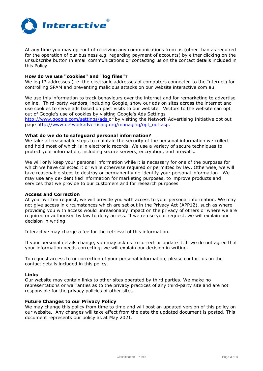

At any time you may opt-out of receiving any communications from us (other than as required for the operation of our business e.g. regarding payment of accounts) by either clicking on the unsubscribe button in email communications or contacting us on the contact details included in this Policy.

# **How do we use "cookies" and "log files"?**

We log IP addresses (i.e. the electronic addresses of computers connected to the Internet) for controlling SPAM and preventing malicious attacks on our website interactive.com.au.

We use this information to track behaviours over the internet and for remarketing to advertise online. Third-party vendors, including Google, show our ads on sites across the internet and use cookies to serve ads based on past visits to our website. Visitors to the website can opt out of Google's use of cookies by visiting Google's Ads Settings

<http://www.google.com/settings/ads> or by visiting the Network Advertising Initiative opt out page [http://www.networkadvertising.org/managing/opt\\_out.asp.](http://www.networkadvertising.org/managing/opt_out.asp)

## **What do we do to safeguard personal information?**

We take all reasonable steps to maintain the security of the personal information we collect and hold most of which is in electronic records. We use a variety of secure techniques to protect your information, including secure servers, encryption, and firewalls.

We will only keep your personal information while it is necessary for one of the purposes for which we have collected it or while otherwise required or permitted by law. Otherwise, we will take reasonable steps to destroy or permanently de-identify your personal information. We may use any de-identified information for marketing purposes, to improve products and services that we provide to our customers and for research purposes

## **Access and Correction**

At your written request, we will provide you with access to your personal information. We may not give access in circumstances which are set out in the Privacy Act (APP12), such as where providing you with access would unreasonably impact on the privacy of others or where we are required or authorised by law to deny access. If we refuse your request, we will explain our decision in writing.

Interactive may charge a fee for the retrieval of this information.

If your personal details change, you may ask us to correct or update it. If we do not agree that your information needs correcting, we will explain our decision in writing.

To request access to or correction of your personal information, please contact us on the contact details included in this policy.

## **Links**

Our website may contain links to other sites operated by third parties. We make no representations or warranties as to the privacy practices of any third-party site and are not responsible for the privacy policies of other sites.

# **Future Changes to our Privacy Policy**

We may change this policy from time to time and will post an updated version of this policy on our website. Any changes will take effect from the date the updated document is posted. This document represents our policy as at May 2021.